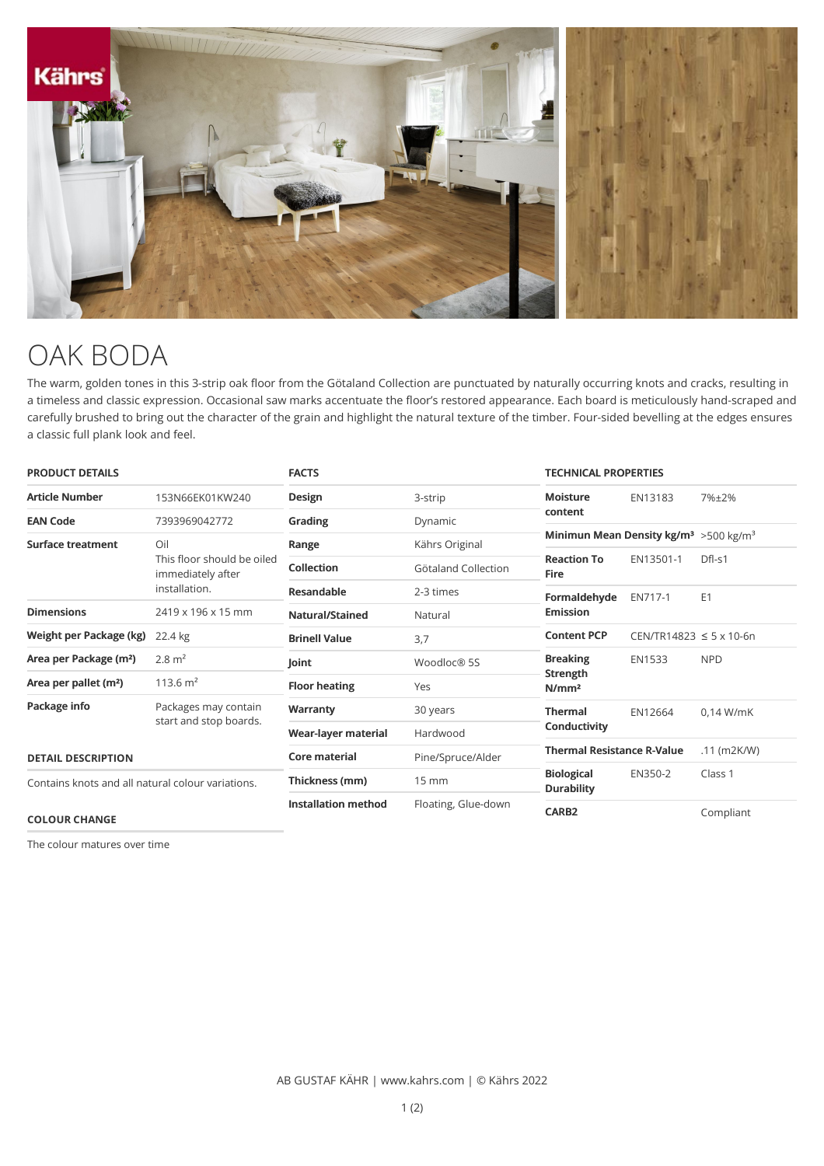

## OAK BODA

The warm, golden tones in this 3-strip oak floor from the Götaland Collection are punctuated by naturally occurring knots and cracks, resulting in a timeless and classic expression. Occasional saw marks accentuate the floor's restored appearance. Each board is meticulously hand-scraped and carefully brushed to bring out the character of the grain and highlight the natural texture of the timber. Four-sided bevelling at the edges ensures a classic full plank look and feel.

| <b>PRODUCT DETAILS</b>                                                    |                                                                         | <b>FACTS</b>               |                     | <b>TECHNICAL PROPERTIES</b>                                    |                                  |                |
|---------------------------------------------------------------------------|-------------------------------------------------------------------------|----------------------------|---------------------|----------------------------------------------------------------|----------------------------------|----------------|
| <b>Article Number</b>                                                     | 153N66EK01KW240                                                         | Design                     | 3-strip             | <b>Moisture</b>                                                | EN13183                          | 7%±2%          |
| <b>EAN Code</b>                                                           | 7393969042772                                                           | Grading                    | Dynamic             | content                                                        |                                  |                |
| Surface treatment                                                         | Oil<br>This floor should be oiled<br>immediately after<br>installation. | Range                      | Kährs Original      | Minimun Mean Density kg/m <sup>3</sup> > 500 kg/m <sup>3</sup> |                                  |                |
|                                                                           |                                                                         | <b>Collection</b>          | Götaland Collection | <b>Reaction To</b><br><b>Fire</b>                              | EN13501-1                        | $DfI-S1$       |
|                                                                           |                                                                         | <b>Resandable</b>          | 2-3 times           | Formaldehyde<br><b>Emission</b>                                | EN717-1                          | E <sub>1</sub> |
| <b>Dimensions</b>                                                         | 2419 x 196 x 15 mm                                                      | Natural/Stained            | Natural             |                                                                |                                  |                |
| Weight per Package (kg)                                                   | 22.4 kg                                                                 | <b>Brinell Value</b>       | 3,7                 | <b>Content PCP</b>                                             | $CEN/TR14823 \le 5 \times 10-6n$ |                |
| Area per Package (m <sup>2</sup> )                                        | $2.8 \text{ m}^2$                                                       | Joint                      | Woodloc® 5S         | <b>Breaking</b>                                                | <b>EN1533</b>                    | <b>NPD</b>     |
| Area per pallet (m <sup>2</sup> )                                         | 113.6 $m2$                                                              | <b>Floor heating</b>       | Yes                 | Strength<br>N/mm <sup>2</sup>                                  |                                  |                |
| Package info                                                              | Packages may contain<br>start and stop boards.                          | Warranty                   | 30 years            | <b>Thermal</b>                                                 | EN12664                          | $0.14$ W/mK    |
|                                                                           |                                                                         | Wear-layer material        | Hardwood            | Conductivity                                                   |                                  |                |
| <b>DETAIL DESCRIPTION</b>                                                 |                                                                         | Core material              | Pine/Spruce/Alder   | <b>Thermal Resistance R-Value</b>                              |                                  | $.11$ (m2K/W)  |
| Contains knots and all natural colour variations.<br><b>COLOUR CHANGE</b> |                                                                         | Thickness (mm)             | $15 \, \text{mm}$   | <b>Biological</b><br><b>Durability</b>                         | EN350-2                          | Class 1        |
|                                                                           |                                                                         | <b>Installation method</b> | Floating, Glue-down | CARB <sub>2</sub>                                              |                                  | Compliant      |

The colour matures over time